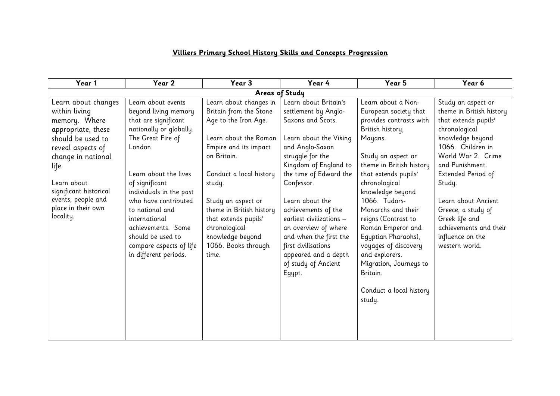## **Villiers Primary School History Skills and Concepts Progression**

| Year 1                                   | Year 2                                          | Year 3                                           | Year 4                                                              | Year 5                                                                 | Year 6                                                      |
|------------------------------------------|-------------------------------------------------|--------------------------------------------------|---------------------------------------------------------------------|------------------------------------------------------------------------|-------------------------------------------------------------|
| <b>Areas of Study</b>                    |                                                 |                                                  |                                                                     |                                                                        |                                                             |
| Learn about changes<br>within living     | Learn about events<br>beyond living memory      | Learn about changes in<br>Britain from the Stone | Learn about Britain's<br>settlement by Anglo-                       | Learn about a Non-<br>European society that                            | Study an aspect or<br>theme in British history              |
| memory. Where<br>appropriate, these      | that are significant<br>nationally or globally. | Age to the Iron Age.                             | Saxons and Scots.                                                   | provides contrasts with<br>British history,                            | that extends pupils'<br>chronological                       |
| should be used to<br>reveal aspects of   | The Great Fire of<br>London.                    | Learn about the Roman<br>Empire and its impact   | Learn about the Viking<br>and Anglo-Saxon                           | Mayans.                                                                | knowledge beyond<br>1066. Children in                       |
| change in national<br>life               | Learn about the lives                           | on Britain.<br>Conduct a local history           | struggle for the<br>Kingdom of England to<br>the time of Edward the | Study an aspect or<br>theme in British history<br>that extends pupils' | World War 2. Crime<br>and Punishment.<br>Extended Period of |
| l earn about.<br>significant historical  | of significant<br>individuals in the past       | study.                                           | Confessor.                                                          | chronological<br>knowledge beyond                                      | Study.                                                      |
| events, people and<br>place in their own | who have contributed<br>to national and         | Study an aspect or<br>theme in British history   | Learn about the<br>achievements of the                              | 1066. Tudors-<br>Monarchs and their                                    | Learn about Ancient<br>Greece, a study of                   |
| locality.                                | international<br>achievements. Some             | that extends pupils'<br>chronological            | earliest civilizations -<br>an overview of where                    | reigns (Contrast to<br>Roman Emperor and                               | Greek life and<br>achievements and their                    |
|                                          | should be used to<br>compare aspects of life    | knowledge beyond<br>1066. Books through          | and when the first the<br>first civilisations                       | Egyptian Pharaohs),<br>voyages of discovery                            | influence on the<br>western world.                          |
|                                          | in different periods.                           | time.                                            | appeared and a depth<br>of study of Ancient                         | and explorers.<br>Migration, Journeys to                               |                                                             |
|                                          |                                                 |                                                  | Egypt.                                                              | Britain.                                                               |                                                             |
|                                          |                                                 |                                                  |                                                                     | Conduct a local history<br>study.                                      |                                                             |
|                                          |                                                 |                                                  |                                                                     |                                                                        |                                                             |
|                                          |                                                 |                                                  |                                                                     |                                                                        |                                                             |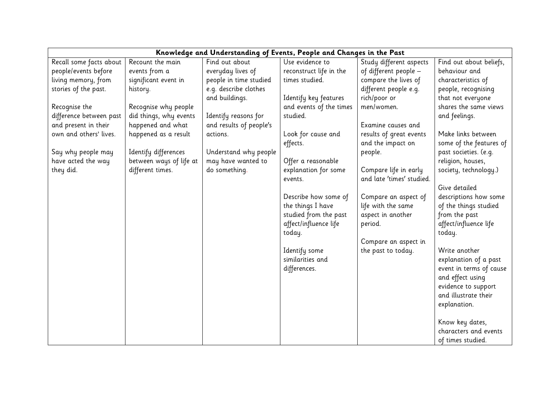| Knowledge and Understanding of Events, People and Changes in the Past |                         |                         |                         |                           |                         |
|-----------------------------------------------------------------------|-------------------------|-------------------------|-------------------------|---------------------------|-------------------------|
| Recall some facts about                                               | Recount the main        | Find out about          | Use evidence to         | Study different aspects   | Find out about beliefs, |
| people/events before                                                  | events from a           | everyday lives of       | reconstruct life in the | of different people -     | behaviour and           |
| living memory, from                                                   | significant event in    | people in time studied  | times studied.          | compare the lives of      | characteristics of      |
| stories of the past.                                                  | history.                | e.g. describe clothes   |                         | different people e.g.     | people, recognising     |
|                                                                       |                         | and buildings.          | Identify key features   | rich/poor or              | that not everyone       |
| Recognise the                                                         | Recognise why people    |                         | and events of the times | men/women.                | shares the same views   |
| difference between past                                               | did things, why events  | Identify reasons for    | studied.                |                           | and feelings.           |
| and present in their                                                  | happened and what       | and results of people's |                         | Examine causes and        |                         |
| own and others' lives.                                                | happened as a result    | actions.                | Look for cause and      | results of great events   | Make links between      |
|                                                                       |                         |                         | effects.                | and the impact on         | some of the features of |
| Say why people may                                                    | Identify differences    | Understand why people   |                         | people.                   | past societies. (e.g.   |
| have acted the way                                                    | between ways of life at | may have wanted to      | Offer a reasonable      |                           | religion, houses,       |
| they did.                                                             | different times.        | do something.           | explanation for some    | Compare life in early     | society, technology.)   |
|                                                                       |                         |                         | events.                 | and late 'times' studied. |                         |
|                                                                       |                         |                         |                         |                           | Give detailed           |
|                                                                       |                         |                         | Describe how some of    | Compare an aspect of      | descriptions how some   |
|                                                                       |                         |                         | the things I have       | life with the same        | of the things studied   |
|                                                                       |                         |                         | studied from the past   | aspect in another         | from the past           |
|                                                                       |                         |                         | affect/influence life   | period.                   | affect/influence life   |
|                                                                       |                         |                         | today.                  |                           | today.                  |
|                                                                       |                         |                         |                         | Compare an aspect in      |                         |
|                                                                       |                         |                         | Identify some           | the past to today.        | Write another           |
|                                                                       |                         |                         | similarities and        |                           | explanation of a past   |
|                                                                       |                         |                         | differences.            |                           | event in terms of cause |
|                                                                       |                         |                         |                         |                           | and effect using        |
|                                                                       |                         |                         |                         |                           | evidence to support     |
|                                                                       |                         |                         |                         |                           | and illustrate their    |
|                                                                       |                         |                         |                         |                           | explanation.            |
|                                                                       |                         |                         |                         |                           |                         |
|                                                                       |                         |                         |                         |                           | Know key dates,         |
|                                                                       |                         |                         |                         |                           | characters and events   |
|                                                                       |                         |                         |                         |                           | of times studied.       |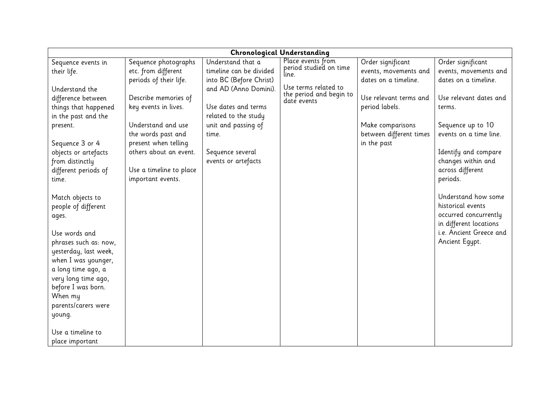| <b>Chronological Understanding</b> |                         |                         |                                        |                         |                         |
|------------------------------------|-------------------------|-------------------------|----------------------------------------|-------------------------|-------------------------|
| Sequence events in                 | Sequence photographs    | Understand that a       | Place events from                      | Order significant       | Order significant       |
| their life.                        | etc. from different     | timeline can be divided | period studied on time<br>line.        | events, movements and   | events, movements and   |
|                                    | periods of their life.  | into BC (Before Christ) |                                        | dates on a timeline.    | dates on a timeline.    |
| Understand the                     |                         | and AD (Anno Domini).   | Use terms related to                   |                         |                         |
| difference between                 | Describe memories of    |                         | the period and begin to<br>date events | Use relevant terms and  | Use relevant dates and  |
| things that happened               | key events in lives.    | Use dates and terms     |                                        | period labels.          | terms.                  |
| in the past and the                |                         | related to the study    |                                        |                         |                         |
| present.                           | Understand and use      | unit and passing of     |                                        | Make comparisons        | Sequence up to 10       |
|                                    | the words past and      | time.                   |                                        | between different times | events on a time line.  |
| Sequence 3 or 4                    | present when telling    |                         |                                        | in the past             |                         |
| objects or artefacts               | others about an event.  | Sequence several        |                                        |                         | Identify and compare    |
| from distinctly                    |                         | events or artefacts     |                                        |                         | changes within and      |
| different periods of               | Use a timeline to place |                         |                                        |                         | across different        |
| time.                              | important events.       |                         |                                        |                         | periods.                |
|                                    |                         |                         |                                        |                         |                         |
| Match objects to                   |                         |                         |                                        |                         | Understand how some     |
| people of different                |                         |                         |                                        |                         | historical events       |
| ages.                              |                         |                         |                                        |                         | occurred concurrently   |
|                                    |                         |                         |                                        |                         | in different locations  |
| Use words and                      |                         |                         |                                        |                         | i.e. Ancient Greece and |
| phrases such as: now,              |                         |                         |                                        |                         | Ancient Egypt.          |
| yesterday, last week,              |                         |                         |                                        |                         |                         |
| when I was younger,                |                         |                         |                                        |                         |                         |
| a long time ago, a                 |                         |                         |                                        |                         |                         |
| very long time ago,                |                         |                         |                                        |                         |                         |
| before I was born.                 |                         |                         |                                        |                         |                         |
| When my                            |                         |                         |                                        |                         |                         |
| parents/carers were                |                         |                         |                                        |                         |                         |
| young.                             |                         |                         |                                        |                         |                         |
|                                    |                         |                         |                                        |                         |                         |
| Use a timeline to                  |                         |                         |                                        |                         |                         |
| place important                    |                         |                         |                                        |                         |                         |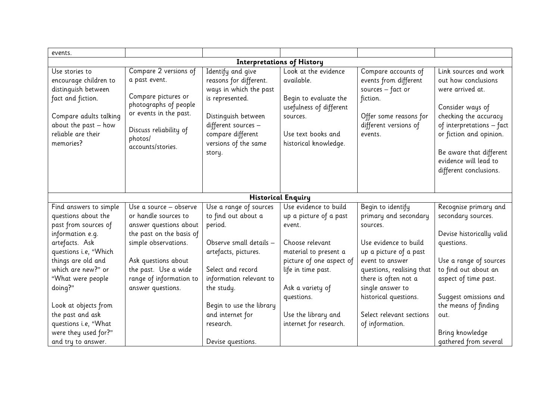| events.                                                                                                                                                                                                                                                                                                                            |                                                                                                                                                                                                                             |                                                                                                                                                                                                                                                             |                                                                                                                                                                                                                                            |                                                                                                                                                                                                                                                                               |                                                                                                                                                                                                                                                                       |
|------------------------------------------------------------------------------------------------------------------------------------------------------------------------------------------------------------------------------------------------------------------------------------------------------------------------------------|-----------------------------------------------------------------------------------------------------------------------------------------------------------------------------------------------------------------------------|-------------------------------------------------------------------------------------------------------------------------------------------------------------------------------------------------------------------------------------------------------------|--------------------------------------------------------------------------------------------------------------------------------------------------------------------------------------------------------------------------------------------|-------------------------------------------------------------------------------------------------------------------------------------------------------------------------------------------------------------------------------------------------------------------------------|-----------------------------------------------------------------------------------------------------------------------------------------------------------------------------------------------------------------------------------------------------------------------|
| <b>Interpretations of History</b>                                                                                                                                                                                                                                                                                                  |                                                                                                                                                                                                                             |                                                                                                                                                                                                                                                             |                                                                                                                                                                                                                                            |                                                                                                                                                                                                                                                                               |                                                                                                                                                                                                                                                                       |
| Use stories to<br>encourage children to<br>distinguish between<br>fact and fiction.<br>Compare adults talking<br>about the past - how<br>reliable are their<br>memories?                                                                                                                                                           | Compare 2 versions of<br>a past event.<br>Compare pictures or<br>photographs of people<br>or events in the past.<br>Discuss reliability of<br>photos/<br>accounts/stories.                                                  | Identify and give<br>reasons for different.<br>ways in which the past<br>is represented.<br>Distinguish between<br>different sources -<br>compare different<br>versions of the same<br>story.                                                               | Look at the evidence<br>available.<br>Begin to evaluate the<br>usefulness of different<br>sources.<br>Use text books and<br>historical knowledge.                                                                                          | Compare accounts of<br>events from different<br>sources $-$ fact or<br>fiction.<br>Offer some reasons for<br>different versions of<br>events.                                                                                                                                 | Link sources and work<br>out how conclusions<br>were arrived at.<br>Consider ways of<br>checking the accuracy<br>of interpretations - fact<br>or fiction and opinion.<br>Be aware that different<br>evidence will lead to<br>different conclusions.                   |
|                                                                                                                                                                                                                                                                                                                                    |                                                                                                                                                                                                                             |                                                                                                                                                                                                                                                             | <b>Historical Enquiry</b>                                                                                                                                                                                                                  |                                                                                                                                                                                                                                                                               |                                                                                                                                                                                                                                                                       |
| Find answers to simple<br>questions about the<br>past from sources of<br>information e.g.<br>artefacts. Ask<br>questions i.e, "Which<br>things are old and<br>which are new?" or<br>"What were people<br>doing?"<br>Look at objects from<br>the past and ask<br>questions i.e, "What<br>were they used for?"<br>and try to answer. | Use a source - observe<br>or handle sources to<br>answer questions about<br>the past on the basis of<br>simple observations.<br>Ask questions about<br>the past. Use a wide<br>range of information to<br>answer questions. | Use a range of sources<br>to find out about a<br>period.<br>Observe small details -<br>artefacts, pictures.<br>Select and record<br>information relevant to<br>the study.<br>Begin to use the library<br>and internet for<br>research.<br>Devise questions. | Use evidence to build<br>up a picture of a past<br>event.<br>Choose relevant<br>material to present a<br>picture of one aspect of<br>life in time past.<br>Ask a variety of<br>questions.<br>Use the library and<br>internet for research. | Begin to identify<br>primary and secondary<br>sources.<br>Use evidence to build<br>up a picture of a past<br>event to answer<br>questions, realising that<br>there is often not a<br>single answer to<br>historical questions.<br>Select relevant sections<br>of information. | Recognise primary and<br>secondary sources.<br>Devise historically valid<br>questions.<br>Use a range of sources<br>to find out about an<br>aspect of time past.<br>Suggest omissions and<br>the means of finding<br>out.<br>Bring knowledge<br>gathered from several |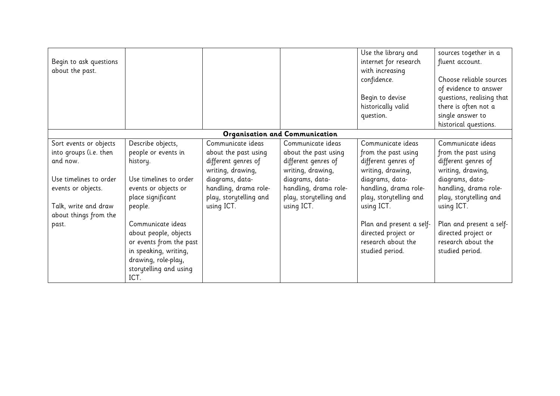|                        |                         |                        |                                | Use the library and      | sources together in a     |
|------------------------|-------------------------|------------------------|--------------------------------|--------------------------|---------------------------|
| Begin to ask questions |                         |                        |                                | internet for research    | fluent account.           |
| about the past.        |                         |                        |                                | with increasing          |                           |
|                        |                         |                        |                                | confidence.              | Choose reliable sources   |
|                        |                         |                        |                                |                          | of evidence to answer     |
|                        |                         |                        |                                | Begin to devise          | questions, realising that |
|                        |                         |                        |                                | historically valid       | there is often not a      |
|                        |                         |                        |                                | question.                | single answer to          |
|                        |                         |                        |                                |                          | historical questions.     |
|                        |                         |                        | Organisation and Communication |                          |                           |
| Sort events or objects | Describe objects,       | Communicate ideas      | Communicate ideas              | Communicate ideas        | Communicate ideas         |
| into groups (i.e. then | people or events in     | about the past using   | about the past using           | from the past using      | from the past using       |
| and now.               | history.                | different genres of    | different genres of            | different genres of      | different genres of       |
|                        |                         | writing, drawing,      | writing, drawing,              | writing, drawing,        | writing, drawing,         |
| Use timelines to order | Use timelines to order  | diagrams, data-        | diagrams, data-                | diagrams, data-          | diagrams, data-           |
| events or objects.     | events or objects or    | handling, drama role-  | handling, drama role-          | handling, drama role-    | handling, drama role-     |
|                        | place significant       | play, storytelling and | play, storytelling and         | play, storytelling and   | play, storytelling and    |
| Talk, write and draw   | people.                 | using ICT.             | using ICT.                     | using ICT.               | using ICT.                |
| about things from the  |                         |                        |                                |                          |                           |
| past.                  | Communicate ideas       |                        |                                | Plan and present a self- | Plan and present a self-  |
|                        | about people, objects   |                        |                                | directed project or      | directed project or       |
|                        | or events from the past |                        |                                | research about the       | research about the        |
|                        | in speaking, writing,   |                        |                                | studied period.          | studied period.           |
|                        | drawing, role-play,     |                        |                                |                          |                           |
|                        | storytelling and using  |                        |                                |                          |                           |
|                        | ICT.                    |                        |                                |                          |                           |